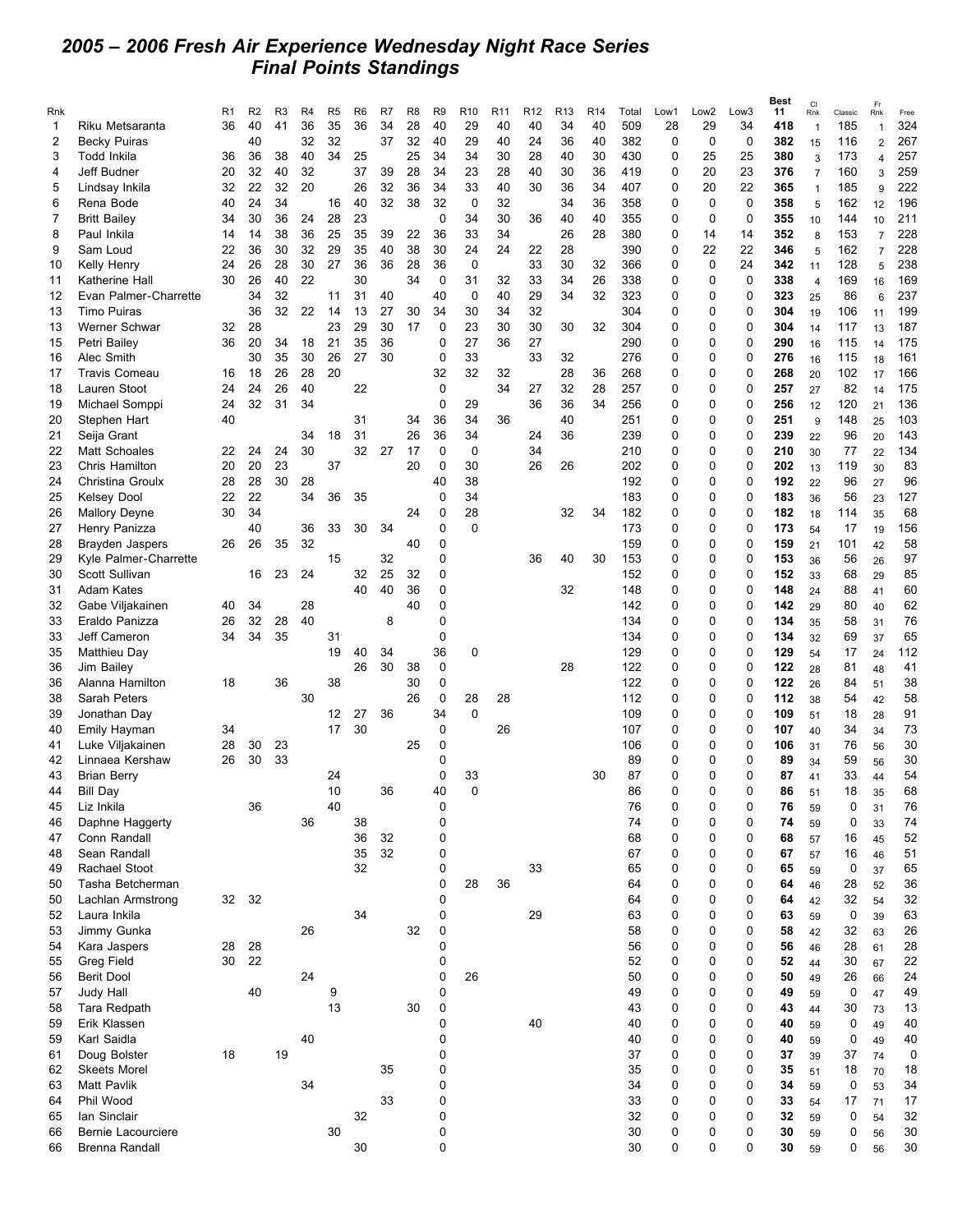## *2005 – 2006 Fresh Air Experience Wednesday Night Race Series Final Points Standings*

|                |                       |                |                |    |    |                |                |    |                |                |                 |                 |                 |                 |                 |       |             |                  |             | Best | <b>CI</b>      |             | Fr             |      |
|----------------|-----------------------|----------------|----------------|----|----|----------------|----------------|----|----------------|----------------|-----------------|-----------------|-----------------|-----------------|-----------------|-------|-------------|------------------|-------------|------|----------------|-------------|----------------|------|
| Rnk            |                       | R <sub>1</sub> | R <sub>2</sub> | R3 | R4 | R <sub>5</sub> | R <sub>6</sub> | R7 | R <sub>8</sub> | R <sub>9</sub> | R <sub>10</sub> | R <sub>11</sub> | R <sub>12</sub> | R <sub>13</sub> | R <sub>14</sub> | Total | Low1        | Low <sub>2</sub> | Low3        | 11   | Rnk            | Classic     | Rnk            | Free |
| 1              | Riku Metsaranta       | 36             | 40             | 41 | 36 | 35             | 36             | 34 | 28             | 40             | 29              | 40              | 40              | 34              | 40              | 509   | 28          | 29               | 34          | 418  | $\mathbf{1}$   | 185         | $\overline{1}$ | 324  |
| $\overline{2}$ | <b>Becky Puiras</b>   |                | 40             |    | 32 | 32             |                | 37 | 32             | 40             | 29              | 40              | 24              | 36              | 40              | 382   | $\mathbf 0$ | $\mathbf 0$      | $\mathbf 0$ | 382  | 15             | 116         | $\overline{2}$ | 267  |
| 3              | Todd Inkila           | 36             | 36             | 38 | 40 | 34             | 25             |    | 25             | 34             | 34              | 30              | 28              | 40              | 30              | 430   | 0           | 25               | 25          | 380  | 3              | 173         | $\overline{4}$ | 257  |
| 4              | Jeff Budner           | 20             | 32             | 40 | 32 |                | 37             | 39 | 28             | 34             | 23              | 28              | 40              | 30              | 36              | 419   | 0           | 20               | 23          | 376  | $\overline{7}$ | 160         | 3              | 259  |
| 5              | Lindsay Inkila        | 32             | 22             | 32 | 20 |                | 26             | 32 | 36             | 34             | 33              | 40              | 30              | 36              | 34              | 407   | $\mathbf 0$ | 20               | 22          | 365  | $\mathbf{1}$   | 185         | 9              | 222  |
| 6              | Rena Bode             | 40             | 24             | 34 |    | 16             | 40             | 32 | 38             | 32             | $\mathbf 0$     | 32              |                 | 34              | 36              | 358   | $\mathbf 0$ | $\mathbf 0$      | $\mathbf 0$ | 358  | 5              | 162         | 12             | 196  |
| 7              | <b>Britt Bailey</b>   | 34             | 30             | 36 | 24 | 28             | 23             |    |                | 0              | 34              | 30              | 36              | 40              | 40              | 355   | $\mathbf 0$ | 0                | 0           | 355  | 10             | 144         | 10             | 211  |
| 8              | Paul Inkila           | 14             | 14             | 38 | 36 | 25             | 35             | 39 | 22             | 36             | 33              | 34              |                 | 26              | 28              | 380   | $\mathbf 0$ | 14               | 14          | 352  | 8              | 153         | $\overline{7}$ | 228  |
|                |                       |                |                |    |    |                |                |    |                |                |                 |                 |                 |                 |                 |       |             |                  |             |      |                |             |                |      |
| 9              | Sam Loud              | 22             | 36             | 30 | 32 | 29             | 35             | 40 | 38             | 30             | 24              | 24              | 22              | 28              |                 | 390   | 0           | 22               | 22          | 346  | 5              | 162         | $\overline{7}$ | 228  |
| 10             | Kelly Henry           | 24             | 26             | 28 | 30 | 27             | 36             | 36 | 28             | 36             | 0               |                 | 33              | 30              | 32              | 366   | $\mathbf 0$ | 0                | 24          | 342  | 11             | 128         | 5              | 238  |
| 11             | Katherine Hall        | 30             | 26             | 40 | 22 |                | 30             |    | 34             | 0              | 31              | 32              | 33              | 34              | 26              | 338   | $\mathbf 0$ | 0                | $\mathbf 0$ | 338  | $\overline{4}$ | 169         | 16             | 169  |
| 12             | Evan Palmer-Charrette |                | 34             | 32 |    | 11             | 31             | 40 |                | 40             | $\mathbf 0$     | 40              | 29              | 34              | 32              | 323   | 0           | 0                | 0           | 323  | 25             | 86          | 6              | 237  |
| 13             | <b>Timo Puiras</b>    |                | 36             | 32 | 22 | 14             | 13             | 27 | 30             | 34             | 30              | 34              | 32              |                 |                 | 304   | $\mathbf 0$ | 0                | 0           | 304  | 19             | 106         | 11             | 199  |
| 13             | Werner Schwar         | 32             | 28             |    |    | 23             | 29             | 30 | 17             | 0              | 23              | 30              | 30              | 30              | 32              | 304   | 0           | 0                | 0           | 304  | 14             | 117         | 13             | 187  |
| 15             | Petri Bailey          | 36             | 20             | 34 | 18 | 21             | 35             | 36 |                | 0              | 27              | 36              | 27              |                 |                 | 290   | 0           | 0                | 0           | 290  | 16             | 115         | 14             | 175  |
| 16             | Alec Smith            |                | 30             | 35 | 30 | 26             | 27             | 30 |                | $\mathbf 0$    | 33              |                 | 33              | 32              |                 | 276   | $\mathbf 0$ | 0                | 0           | 276  | 16             | 115         | 18             | 161  |
| 17             | <b>Travis Comeau</b>  | 16             | 18             | 26 | 28 | 20             |                |    |                | 32             | 32              | 32              |                 | 28              | 36              | 268   | 0           | 0                | 0           | 268  | 20             | 102         | 17             | 166  |
| 18             | Lauren Stoot          | 24             | 24             | 26 | 40 |                | 22             |    |                | $\mathbf 0$    |                 | 34              | 27              | 32              | 28              | 257   | 0           | 0                | 0           | 257  |                | 82          |                | 175  |
|                |                       |                |                |    |    |                |                |    |                |                |                 |                 |                 |                 |                 |       |             |                  |             |      | 27             |             | 14             |      |
| 19             | Michael Somppi        | 24             | 32             | 31 | 34 |                |                |    |                | $\mathbf 0$    | 29              |                 | 36              | 36              | 34              | 256   | $\mathbf 0$ | 0                | 0           | 256  | 12             | 120         | 21             | 136  |
| 20             | Stephen Hart          | 40             |                |    |    |                | 31             |    | 34             | 36             | 34              | 36              |                 | 40              |                 | 251   | 0           | 0                | 0           | 251  | 9              | 148         | 25             | 103  |
| 21             | Seija Grant           |                |                |    | 34 | 18             | 31             |    | 26             | 36             | 34              |                 | 24              | 36              |                 | 239   | 0           | 0                | 0           | 239  | 22             | 96          | 20             | 143  |
| 22             | <b>Matt Schoales</b>  | 22             | 24             | 24 | 30 |                | 32             | 27 | 17             | $\mathbf 0$    | $\mathbf 0$     |                 | 34              |                 |                 | 210   | $\mathbf 0$ | 0                | 0           | 210  | 30             | 77          | 22             | 134  |
| 23             | Chris Hamilton        | 20             | 20             | 23 |    | 37             |                |    | 20             | $\mathbf 0$    | 30              |                 | 26              | 26              |                 | 202   | 0           | 0                | 0           | 202  | 13             | 119         | 30             | 83   |
| 24             | Christina Groulx      | 28             | 28             | 30 | 28 |                |                |    |                | 40             | 38              |                 |                 |                 |                 | 192   | $\mathbf 0$ | 0                | 0           | 192  | 22             | 96          | 27             | 96   |
| 25             | <b>Kelsey Dool</b>    | 22             | 22             |    | 34 | 36             | 35             |    |                | $\mathbf 0$    | 34              |                 |                 |                 |                 | 183   | $\mathbf 0$ | 0                | 0           | 183  | 36             | 56          | 23             | 127  |
| 26             | <b>Mallory Deyne</b>  | 30             | 34             |    |    |                |                |    | 24             | 0              | 28              |                 |                 | 32              | 34              | 182   | 0           | 0                | 0           | 182  | 18             | 114         | 35             | 68   |
| 27             | Henry Panizza         |                | 40             |    | 36 | 33             | 30             | 34 |                | $\mathbf 0$    | $\Omega$        |                 |                 |                 |                 | 173   | $\mathbf 0$ | 0                | 0           | 173  |                | 17          |                | 156  |
|                |                       | 26             | 26             |    | 32 |                |                |    | 40             | 0              |                 |                 |                 |                 |                 | 159   | 0           | 0                | 0           | 159  | 54             |             | 19             | 58   |
| 28             | Brayden Jaspers       |                |                | 35 |    |                |                |    |                |                |                 |                 |                 |                 |                 |       |             |                  |             |      | 21             | 101         | 42             |      |
| 29             | Kyle Palmer-Charrette |                |                |    |    | 15             |                | 32 |                | 0              |                 |                 | 36              | 40              | 30              | 153   | 0           | 0                | 0           | 153  | 36             | 56          | 26             | 97   |
| 30             | Scott Sullivan        |                | 16             | 23 | 24 |                | 32             | 25 | 32             | 0              |                 |                 |                 |                 |                 | 152   | $\mathbf 0$ | 0                | 0           | 152  | 33             | 68          | 29             | 85   |
| 31             | Adam Kates            |                |                |    |    |                | 40             | 40 | 36             | 0              |                 |                 |                 | 32              |                 | 148   | 0           | 0                | 0           | 148  | 24             | 88          | 41             | 60   |
| 32             | Gabe Viljakainen      | 40             | 34             |    | 28 |                |                |    | 40             | 0              |                 |                 |                 |                 |                 | 142   | $\mathbf 0$ | 0                | 0           | 142  | 29             | 80          | 40             | 62   |
| 33             | Eraldo Panizza        | 26             | 32             | 28 | 40 |                |                | 8  |                | 0              |                 |                 |                 |                 |                 | 134   | $\mathbf 0$ | 0                | 0           | 134  | 35             | 58          | 31             | 76   |
| 33             | Jeff Cameron          | 34             | 34             | 35 |    | 31             |                |    |                | 0              |                 |                 |                 |                 |                 | 134   | 0           | 0                | 0           | 134  | 32             | 69          | 37             | 65   |
| 35             | Matthieu Day          |                |                |    |    | 19             | 40             | 34 |                | 36             | 0               |                 |                 |                 |                 | 129   | $\mathbf 0$ | 0                | 0           | 129  | 54             | 17          | 24             | 112  |
| 36             | Jim Bailey            |                |                |    |    |                | 26             | 30 | 38             | 0              |                 |                 |                 | 28              |                 | 122   | 0           | 0                | 0           | 122  | 28             | 81          | 48             | 41   |
| 36             | Alanna Hamilton       | 18             |                | 36 |    | 38             |                |    | 30             | 0              |                 |                 |                 |                 |                 | 122   | 0           | 0                | 0           | 122  | 26             | 84          |                | 38   |
|                |                       |                |                |    |    |                |                |    |                |                |                 |                 |                 |                 |                 |       |             |                  |             |      |                |             | 51             |      |
| 38             | Sarah Peters          |                |                |    | 30 |                |                |    | 26             | 0              | 28              | 28              |                 |                 |                 | 112   | $\mathbf 0$ | 0                | $\mathbf 0$ | 112  | 38             | 54          | 42             | 58   |
| 39             | Jonathan Day          |                |                |    |    | 12             | 27             | 36 |                | 34             | $\mathbf 0$     |                 |                 |                 |                 | 109   | $\mathbf 0$ | 0                | 0           | 109  | 51             | 18          | 28             | 91   |
| 40             | Emily Hayman          | 34             |                |    |    | 17             | 30             |    |                | $\mathbf 0$    |                 | 26              |                 |                 |                 | 107   | 0           | 0                | 0           | 107  | 40             | 34          | 34             | 73   |
| 41             | Luke Viljakainen      | 28             | 30             | 23 |    |                |                |    | 25             | $\Omega$       |                 |                 |                 |                 |                 | 106   | 0           | 0                | 0           | 106  | 31             | 76          | 56             | 30   |
| 42             | Linnaea Kershaw       | 26             | 30             | 33 |    |                |                |    |                | 0              |                 |                 |                 |                 |                 | 89    | 0           | 0                | 0           | 89   | 34             | 59          | 56             | 30   |
| 43             | <b>Brian Berry</b>    |                |                |    |    | 24             |                |    |                | 0              | 33              |                 |                 |                 | 30              | 87    | $\mathbf 0$ | 0                | 0           | 87   | 41             | 33          | 44             | 54   |
| 44             | <b>Bill Day</b>       |                |                |    |    | 10             |                | 36 |                | 40             | $\Omega$        |                 |                 |                 |                 | 86    | $\Omega$    | $\Omega$         | 0           | 86   | 51             | 18          | 35             | 68   |
| 45             | Liz Inkila            |                | 36             |    |    | 40             |                |    |                | 0              |                 |                 |                 |                 |                 | 76    | 0           | 0                | 0           | 76   | 59             | 0           | 31             | 76   |
| 46             | Daphne Haggerty       |                |                |    | 36 |                | 38             |    |                | 0              |                 |                 |                 |                 |                 | 74    | 0           | 0                | 0           | 74   | 59             | 0           | 33             | 74   |
| 47             | Conn Randall          |                |                |    |    |                | 36             | 32 |                | 0              |                 |                 |                 |                 |                 | 68    | 0           | 0                | 0           | 68   | 57             | 16          | 45             | 52   |
| 48             | Sean Randall          |                |                |    |    |                | 35             | 32 |                | 0              |                 |                 |                 |                 |                 | 67    | 0           | 0                | 0           | 67   |                | 16          |                | 51   |
|                |                       |                |                |    |    |                |                |    |                |                |                 |                 |                 |                 |                 |       |             |                  |             |      | 57             |             | 46             |      |
| 49             | Rachael Stoot         |                |                |    |    |                | 32             |    |                | 0              |                 |                 | 33              |                 |                 | 65    | 0           | 0                | 0           | 65   | 59             | 0           | 37             | 65   |
| 50             | Tasha Betcherman      |                |                |    |    |                |                |    |                | $\mathbf 0$    | 28              | 36              |                 |                 |                 | 64    | $\mathbf 0$ | 0                | 0           | 64   | 46             | 28          | 52             | 36   |
| 50             | Lachlan Armstrong     | 32             | 32             |    |    |                |                |    |                | 0              |                 |                 |                 |                 |                 | 64    | 0           | 0                | 0           | 64   | 42             | 32          | 54             | 32   |
| 52             | Laura Inkila          |                |                |    |    |                | 34             |    |                | 0              |                 |                 | 29              |                 |                 | 63    | 0           | 0                | 0           | 63   | 59             | 0           | 39             | 63   |
| 53             | Jimmy Gunka           |                |                |    | 26 |                |                |    | 32             | 0              |                 |                 |                 |                 |                 | 58    | $\mathbf 0$ | 0                | 0           | 58   | 42             | 32          | 63             | 26   |
| 54             | Kara Jaspers          | 28             | 28             |    |    |                |                |    |                | 0              |                 |                 |                 |                 |                 | 56    | 0           | 0                | 0           | 56   | 46             | 28          | 61             | 28   |
| 55             | <b>Greg Field</b>     | 30             | 22             |    |    |                |                |    |                | 0              |                 |                 |                 |                 |                 | 52    | 0           | 0                | 0           | 52   | 44             | 30          | 67             | 22   |
| 56             | <b>Berit Dool</b>     |                |                |    | 24 |                |                |    |                | 0              | 26              |                 |                 |                 |                 | 50    | 0           | 0                | 0           | 50   | 49             | 26          | 66             | 24   |
| 57             | Judy Hall             |                | 40             |    |    | 9              |                |    |                | 0              |                 |                 |                 |                 |                 | 49    | 0           | 0                | 0           | 49   | 59             | $\mathbf 0$ | 47             | 49   |
| 58             |                       |                |                |    |    | 13             |                |    | 30             | 0              |                 |                 |                 |                 |                 | 43    | 0           | 0                | 0           | 43   |                |             |                |      |
|                | Tara Redpath          |                |                |    |    |                |                |    |                |                |                 |                 |                 |                 |                 |       |             |                  |             |      | 44             | 30          | 73             | 13   |
| 59             | Erik Klassen          |                |                |    |    |                |                |    |                | 0              |                 |                 | 40              |                 |                 | 40    | 0           | 0                | 0           | 40   | 59             | 0           | 49             | 40   |
| 59             | Karl Saidla           |                |                |    | 40 |                |                |    |                | 0              |                 |                 |                 |                 |                 | 40    | 0           | 0                | 0           | 40   | 59             | 0           | 49             | 40   |
| 61             | Doug Bolster          | 18             |                | 19 |    |                |                |    |                | 0              |                 |                 |                 |                 |                 | 37    | 0           | 0                | 0           | 37   | 39             | 37          | 74             | 0    |
| 62             | <b>Skeets Morel</b>   |                |                |    |    |                |                | 35 |                | 0              |                 |                 |                 |                 |                 | 35    | 0           | 0                | 0           | 35   | 51             | 18          | 70             | 18   |
| 63             | Matt Pavlik           |                |                |    | 34 |                |                |    |                | 0              |                 |                 |                 |                 |                 | 34    | 0           | 0                | 0           | 34   | 59             | 0           | 53             | 34   |
| 64             | Phil Wood             |                |                |    |    |                |                | 33 |                | 0              |                 |                 |                 |                 |                 | 33    | 0           | 0                | 0           | 33   | 54             | 17          | 71             | 17   |
| 65             | lan Sinclair          |                |                |    |    |                | 32             |    |                | 0              |                 |                 |                 |                 |                 | 32    | 0           | 0                | 0           | 32   | 59             | 0           | 54             | 32   |
| 66             | Bernie Lacourciere    |                |                |    |    | 30             |                |    |                | 0              |                 |                 |                 |                 |                 | 30    | 0           | 0                | 0           | 30   | 59             | 0           | 56             | 30   |
| 66             | Brenna Randall        |                |                |    |    |                | 30             |    |                | 0              |                 |                 |                 |                 |                 | 30    | 0           | 0                | 0           | 30   |                | 0           |                | 30   |
|                |                       |                |                |    |    |                |                |    |                |                |                 |                 |                 |                 |                 |       |             |                  |             |      | 59             |             | 56             |      |